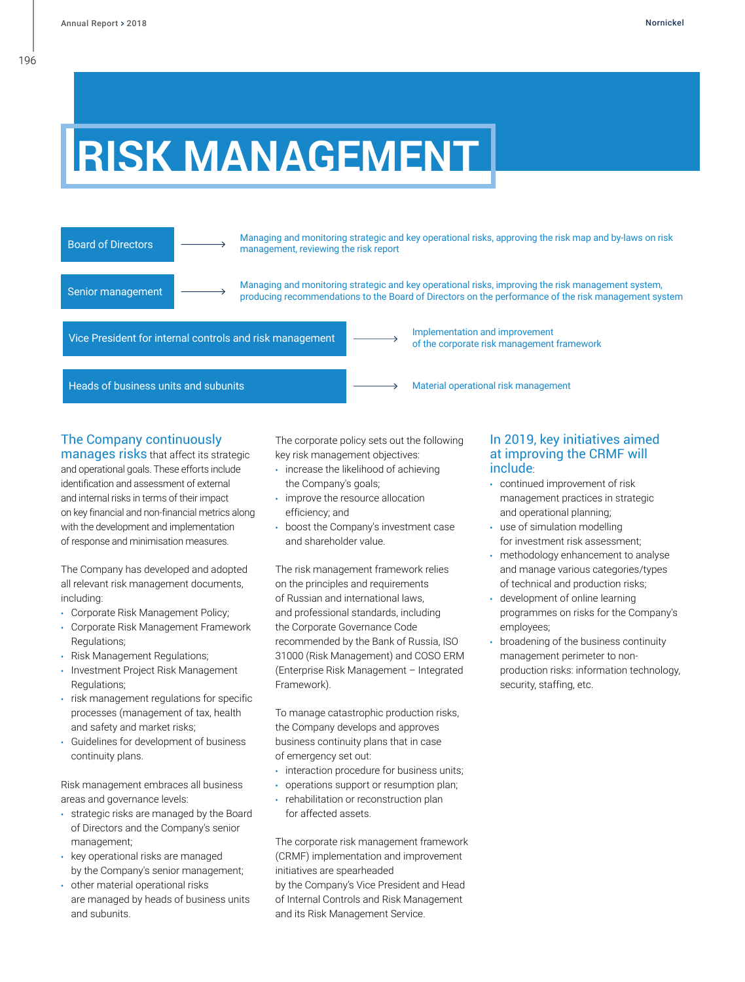## **RISK MANAGEMENT**



### The Company continuously

manages risks that affect its strategic and operational goals. These efforts include identification and assessment of external and internal risks in terms of their impact on key financial and non-financial metrics along with the development and implementation of response and minimisation measures.

The Company has developed and adopted all relevant risk management documents, including:

- **•** Corporate Risk Management Policy;
- **•** Corporate Risk Management Framework Regulations;
- **•** Risk Management Regulations;
- **•** Investment Project Risk Management Regulations;
- **•** risk management regulations for specific processes (management of tax, health and safety and market risks;
- **•** Guidelines for development of business continuity plans.

Risk management embraces all business areas and governance levels:

- **•** strategic risks are managed by the Board of Directors and the Company's senior management;
- **•** key operational risks are managed by the Company's senior management;
- **•** other material operational risks are managed by heads of business units and subunits.

The corporate policy sets out the following key risk management objectives:

- **•** increase the likelihood of achieving the Company's goals;
- **•** improve the resource allocation efficiency; and
- **•** boost the Company's investment case and shareholder value.

The risk management framework relies on the principles and requirements of Russian and international laws, and professional standards, including the Corporate Governance Code recommended by the Bank of Russia, ISO 31000 (Risk Management) and COSO ERM (Enterprise Risk Management – Integrated Framework).

To manage catastrophic production risks, the Company develops and approves business continuity plans that in case of emergency set out:

- **•** interaction procedure for business units;
- **•** operations support or resumption plan;
- **•** rehabilitation or reconstruction plan for affected assets.

The corporate risk management framework (CRMF) implementation and improvement initiatives are spearheaded

by the Company's Vice President and Head of Internal Controls and Risk Management and its Risk Management Service.

#### In 2019, key initiatives aimed at improving the CRMF will include:

- **•** continued improvement of risk management practices in strategic and operational planning;
- **•** use of simulation modelling for investment risk assessment;
- **•** methodology enhancement to analyse and manage various categories/types of technical and production risks;
- **•** development of online learning programmes on risks for the Company's employees;
- **•** broadening of the business continuity management perimeter to nonproduction risks: information technology, security, staffing, etc.